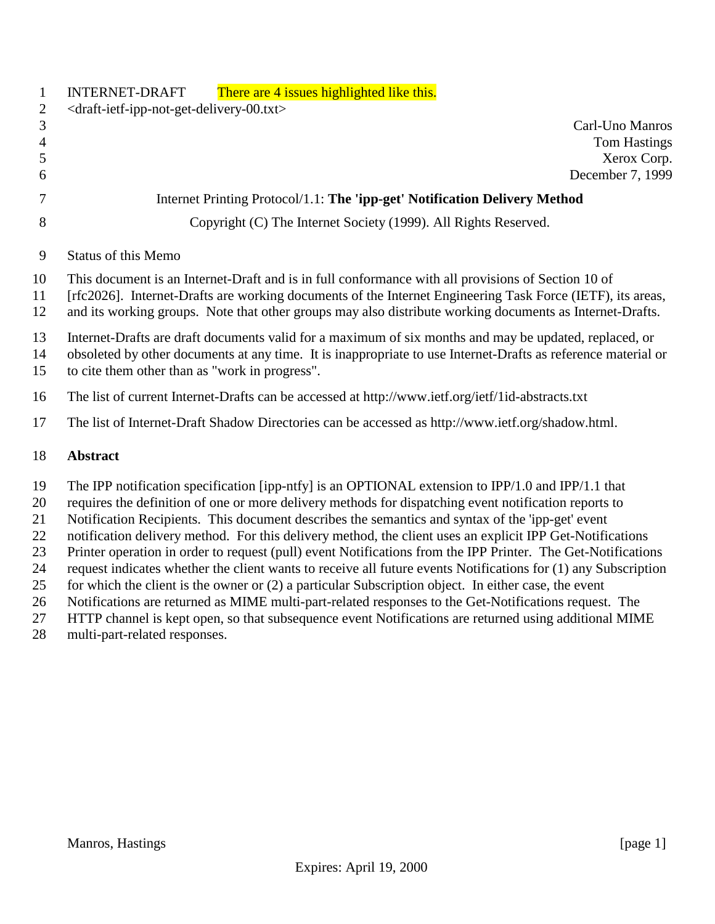|    | <b>INTERNET-DRAFT</b><br>There are 4 issues highlighted like this.                                         |  |  |  |
|----|------------------------------------------------------------------------------------------------------------|--|--|--|
| 2  | $\langle$ draft-ietf-ipp-not-get-delivery-00.txt>                                                          |  |  |  |
| 3  | Carl-Uno Manros                                                                                            |  |  |  |
| 4  | <b>Tom Hastings</b>                                                                                        |  |  |  |
|    | Xerox Corp.                                                                                                |  |  |  |
| 6  | December 7, 1999                                                                                           |  |  |  |
|    | Internet Printing Protocol/1.1: The 'ipp-get' Notification Delivery Method                                 |  |  |  |
| 8  | Copyright (C) The Internet Society (1999). All Rights Reserved.                                            |  |  |  |
| 9  | <b>Status of this Memo</b>                                                                                 |  |  |  |
| 10 | This document is an Internet-Draft and is in full conformance with all provisions of Section 10 of         |  |  |  |
| 11 | [rfc2026]. Internet-Drafts are working documents of the Internet Engineering Task Force (IETF), its areas, |  |  |  |
| 12 | and its working groups. Note that other groups may also distribute working documents as Internet-Drafts.   |  |  |  |

- Internet-Drafts are draft documents valid for a maximum of six months and may be updated, replaced, or
- obsoleted by other documents at any time. It is inappropriate to use Internet-Drafts as reference material or
- to cite them other than as "work in progress".
- The list of current Internet-Drafts can be accessed at http://www.ietf.org/ietf/1id-abstracts.txt
- The list of Internet-Draft Shadow Directories can be accessed as http://www.ietf.org/shadow.html.

### **Abstract**

The IPP notification specification [ipp-ntfy] is an OPTIONAL extension to IPP/1.0 and IPP/1.1 that

requires the definition of one or more delivery methods for dispatching event notification reports to

Notification Recipients. This document describes the semantics and syntax of the 'ipp-get' event

- notification delivery method. For this delivery method, the client uses an explicit IPP Get-Notifications
- Printer operation in order to request (pull) event Notifications from the IPP Printer. The Get-Notifications
- request indicates whether the client wants to receive all future events Notifications for (1) any Subscription for which the client is the owner or (2) a particular Subscription object. In either case, the event
- Notifications are returned as MIME multi-part-related responses to the Get-Notifications request. The
- HTTP channel is kept open, so that subsequence event Notifications are returned using additional MIME
- multi-part-related responses.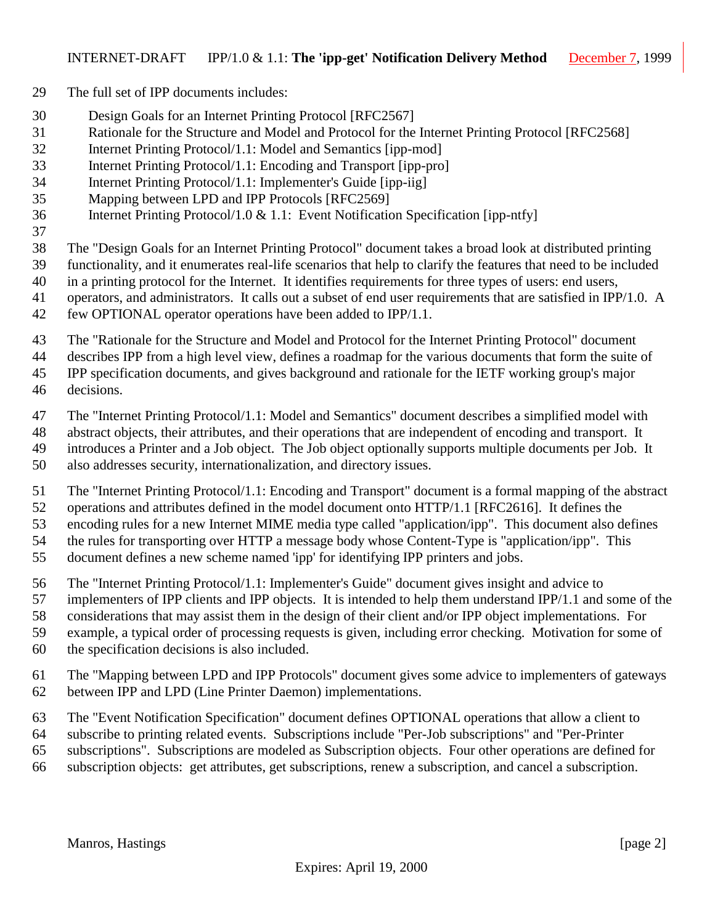- The full set of IPP documents includes:
- Design Goals for an Internet Printing Protocol [RFC2567]
- Rationale for the Structure and Model and Protocol for the Internet Printing Protocol [RFC2568]
- Internet Printing Protocol/1.1: Model and Semantics [ipp-mod]
- Internet Printing Protocol/1.1: Encoding and Transport [ipp-pro]
- Internet Printing Protocol/1.1: Implementer's Guide [ipp-iig]
- Mapping between LPD and IPP Protocols [RFC2569]
- Internet Printing Protocol/1.0 & 1.1: Event Notification Specification [ipp-ntfy]
- 
- The "Design Goals for an Internet Printing Protocol" document takes a broad look at distributed printing
- functionality, and it enumerates real-life scenarios that help to clarify the features that need to be included
- in a printing protocol for the Internet. It identifies requirements for three types of users: end users,
- operators, and administrators. It calls out a subset of end user requirements that are satisfied in IPP/1.0. A few OPTIONAL operator operations have been added to IPP/1.1.
- The "Rationale for the Structure and Model and Protocol for the Internet Printing Protocol" document
- describes IPP from a high level view, defines a roadmap for the various documents that form the suite of
- IPP specification documents, and gives background and rationale for the IETF working group's major
- decisions.
- The "Internet Printing Protocol/1.1: Model and Semantics" document describes a simplified model with
- abstract objects, their attributes, and their operations that are independent of encoding and transport. It
- introduces a Printer and a Job object. The Job object optionally supports multiple documents per Job. It
- also addresses security, internationalization, and directory issues.
- The "Internet Printing Protocol/1.1: Encoding and Transport" document is a formal mapping of the abstract
- operations and attributes defined in the model document onto HTTP/1.1 [RFC2616]. It defines the
- encoding rules for a new Internet MIME media type called "application/ipp". This document also defines
- the rules for transporting over HTTP a message body whose Content-Type is "application/ipp". This
- document defines a new scheme named 'ipp' for identifying IPP printers and jobs.
- The "Internet Printing Protocol/1.1: Implementer's Guide" document gives insight and advice to
- implementers of IPP clients and IPP objects. It is intended to help them understand IPP/1.1 and some of the
- considerations that may assist them in the design of their client and/or IPP object implementations. For
- example, a typical order of processing requests is given, including error checking. Motivation for some of
- the specification decisions is also included.
- The "Mapping between LPD and IPP Protocols" document gives some advice to implementers of gateways between IPP and LPD (Line Printer Daemon) implementations.
- The "Event Notification Specification" document defines OPTIONAL operations that allow a client to
- subscribe to printing related events. Subscriptions include "Per-Job subscriptions" and "Per-Printer
- subscriptions". Subscriptions are modeled as Subscription objects. Four other operations are defined for
- subscription objects: get attributes, get subscriptions, renew a subscription, and cancel a subscription.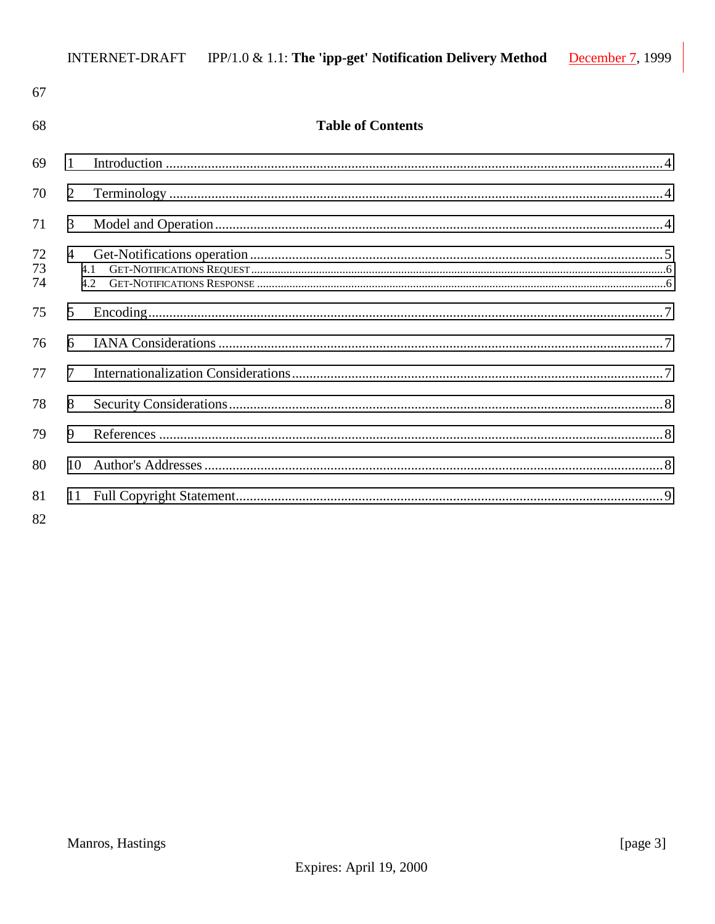| 67             |                |                          |  |
|----------------|----------------|--------------------------|--|
| 68             |                | <b>Table of Contents</b> |  |
| 69             | $\mathbf{1}$   |                          |  |
| 70             | 2              |                          |  |
| 71             | 3              |                          |  |
| 72<br>73<br>74 | $\overline{4}$ | 4.2.                     |  |
| 75             | 5              |                          |  |
| 76             | 6              |                          |  |
| 77             | $\tau$         |                          |  |
| 78             | 8              |                          |  |
| 79             | 9              |                          |  |
| 80             | 10             |                          |  |
| 81<br>82       | 11             |                          |  |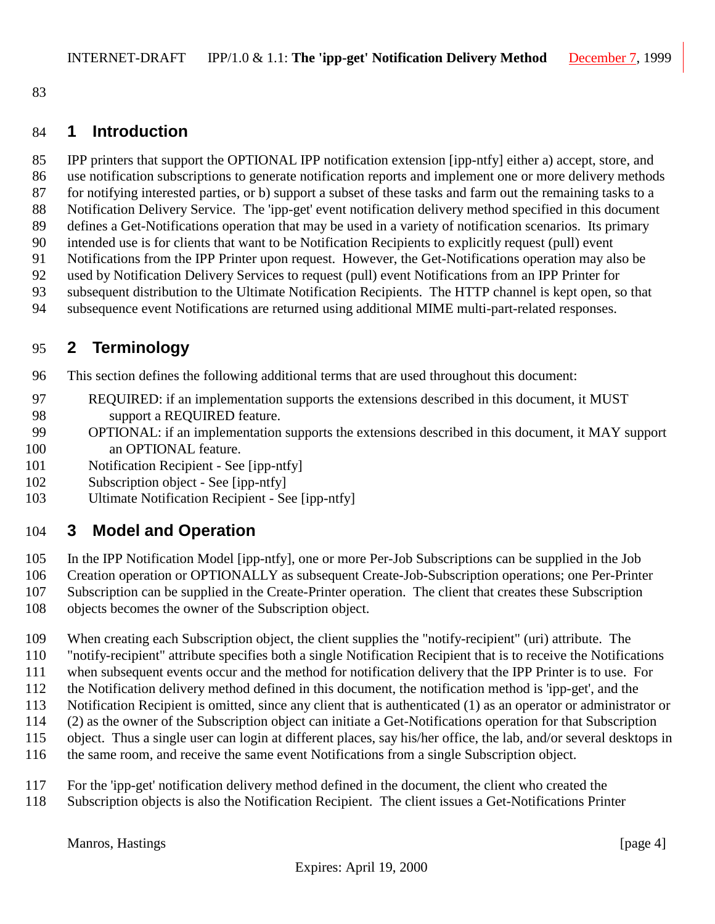<span id="page-3-0"></span>

### **1 Introduction**

 IPP printers that support the OPTIONAL IPP notification extension [ipp-ntfy] either a) accept, store, and use notification subscriptions to generate notification reports and implement one or more delivery methods for notifying interested parties, or b) support a subset of these tasks and farm out the remaining tasks to a Notification Delivery Service. The 'ipp-get' event notification delivery method specified in this document defines a Get-Notifications operation that may be used in a variety of notification scenarios. Its primary intended use is for clients that want to be Notification Recipients to explicitly request (pull) event Notifications from the IPP Printer upon request. However, the Get-Notifications operation may also be used by Notification Delivery Services to request (pull) event Notifications from an IPP Printer for subsequent distribution to the Ultimate Notification Recipients. The HTTP channel is kept open, so that

subsequence event Notifications are returned using additional MIME multi-part-related responses.

# **2 Terminology**

This section defines the following additional terms that are used throughout this document:

- REQUIRED: if an implementation supports the extensions described in this document, it MUST support a REQUIRED feature.
- OPTIONAL: if an implementation supports the extensions described in this document, it MAY support 100 an OPTIONAL feature.
- Notification Recipient See [ipp-ntfy]
- Subscription object See [ipp-ntfy]
- Ultimate Notification Recipient See [ipp-ntfy]

## **3 Model and Operation**

- In the IPP Notification Model [ipp-ntfy], one or more Per-Job Subscriptions can be supplied in the Job
- Creation operation or OPTIONALLY as subsequent Create-Job-Subscription operations; one Per-Printer
- Subscription can be supplied in the Create-Printer operation. The client that creates these Subscription
- objects becomes the owner of the Subscription object.
- When creating each Subscription object, the client supplies the "notify-recipient" (uri) attribute. The
- "notify-recipient" attribute specifies both a single Notification Recipient that is to receive the Notifications
- when subsequent events occur and the method for notification delivery that the IPP Printer is to use. For
- the Notification delivery method defined in this document, the notification method is 'ipp-get', and the
- Notification Recipient is omitted, since any client that is authenticated (1) as an operator or administrator or
- (2) as the owner of the Subscription object can initiate a Get-Notifications operation for that Subscription
- object. Thus a single user can login at different places, say his/her office, the lab, and/or several desktops in
- the same room, and receive the same event Notifications from a single Subscription object.
- For the 'ipp-get' notification delivery method defined in the document, the client who created the
- Subscription objects is also the Notification Recipient. The client issues a Get-Notifications Printer

Manros, Hastings [page 4]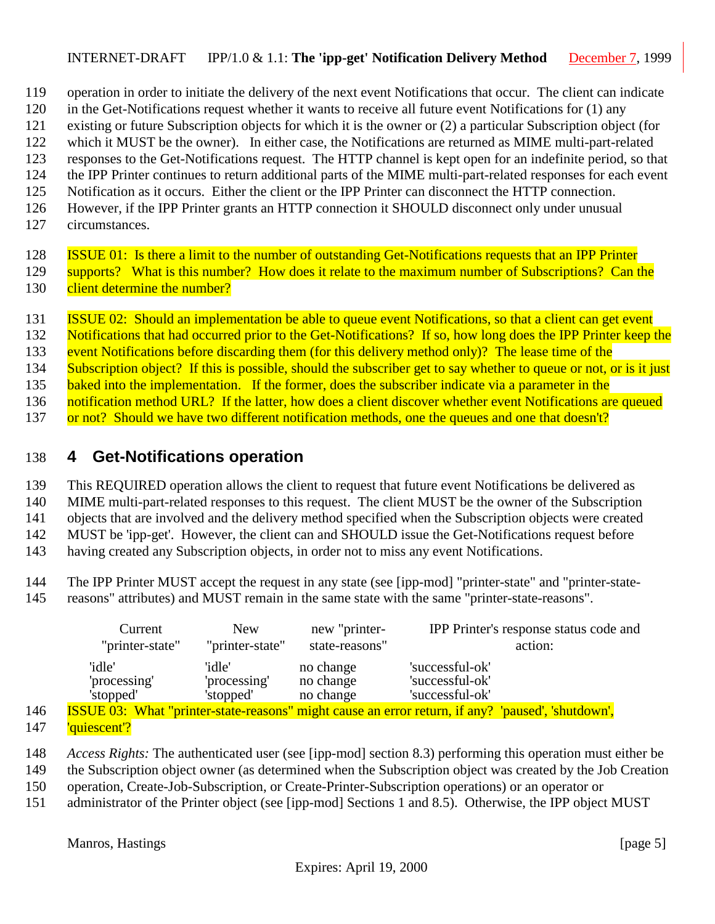- <span id="page-4-0"></span>119 operation in order to initiate the delivery of the next event Notifications that occur. The client can indicate
- 120 in the Get-Notifications request whether it wants to receive all future event Notifications for (1) any
- 121 existing or future Subscription objects for which it is the owner or (2) a particular Subscription object (for
- 122 which it MUST be the owner). In either case, the Notifications are returned as MIME multi-part-related
- 123 responses to the Get-Notifications request. The HTTP channel is kept open for an indefinite period, so that
- 124 the IPP Printer continues to return additional parts of the MIME multi-part-related responses for each event
- 125 Notification as it occurs. Either the client or the IPP Printer can disconnect the HTTP connection.
- 126 However, if the IPP Printer grants an HTTP connection it SHOULD disconnect only under unusual
- 127 circumstances.

128 ISSUE 01: Is there a limit to the number of outstanding Get-Notifications requests that an IPP Printer 129 supports? What is this number? How does it relate to the maximum number of Subscriptions? Can the 130 client determine the number?

- 131 **ISSUE 02:** Should an implementation be able to queue event Notifications, so that a client can get event
- 132 Notifications that had occurred prior to the Get-Notifications? If so, how long does the IPP Printer keep the
- 133 event Notifications before discarding them (for this delivery method only)? The lease time of the
- 134 Subscription object? If this is possible, should the subscriber get to say whether to queue or not, or is it just
- 135 baked into the implementation. If the former, does the subscriber indicate via a parameter in the
- 136 notification method URL? If the latter, how does a client discover whether event Notifications are queued
- 137 or not? Should we have two different notification methods, one the queues and one that doesn't?

# 138 **4 Get-Notifications operation**

139 This REQUIRED operation allows the client to request that future event Notifications be delivered as

- 140 MIME multi-part-related responses to this request. The client MUST be the owner of the Subscription
- 141 objects that are involved and the delivery method specified when the Subscription objects were created
- 142 MUST be 'ipp-get'. However, the client can and SHOULD issue the Get-Notifications request before
- 143 having created any Subscription objects, in order not to miss any event Notifications.
- 144 The IPP Printer MUST accept the request in any state (see [ipp-mod] "printer-state" and "printer-state-
- 145 reasons" attributes) and MUST remain in the same state with the same "printer-state-reasons".

|     | Current<br>"printer-state"                                                                               | <b>New</b><br>"printer-state"       | new "printer-<br>state-reasons"     |                                                       | IPP Printer's response status code and<br>action: |
|-----|----------------------------------------------------------------------------------------------------------|-------------------------------------|-------------------------------------|-------------------------------------------------------|---------------------------------------------------|
|     | 'idle'<br>'processing'<br>'stopped'                                                                      | 'idle'<br>'processing'<br>'stopped' | no change<br>no change<br>no change | 'successful-ok'<br>'successful-ok'<br>'successful-ok' |                                                   |
| 146 | <b>ISSUE 03: What "printer-state-reasons" might cause an error return, if any? 'paused', 'shutdown',</b> |                                     |                                     |                                                       |                                                   |

- 147 'quiescent'?
- 148 *Access Rights:* The authenticated user (see [ipp-mod] section 8.3) performing this operation must either be
- 149 the Subscription object owner (as determined when the Subscription object was created by the Job Creation
- 150 operation, Create-Job-Subscription, or Create-Printer-Subscription operations) or an operator or
- 151 administrator of the Printer object (see [ipp-mod] Sections 1 and 8.5). Otherwise, the IPP object MUST

Manros, Hastings [page 5]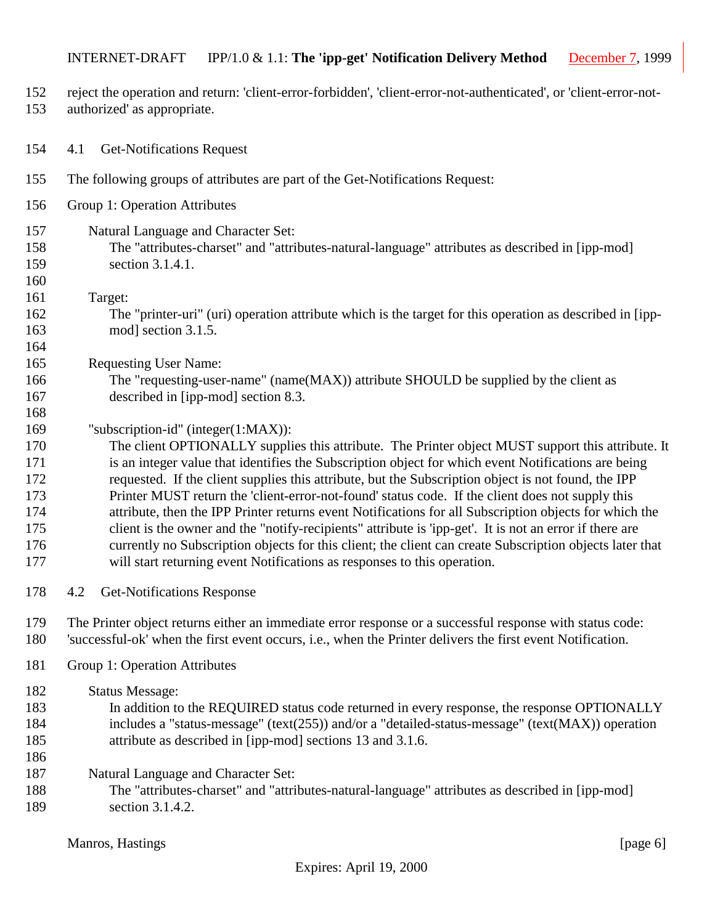- <span id="page-5-0"></span>reject the operation and return: 'client-error-forbidden', 'client-error-not-authenticated', or 'client-error-not-
- authorized' as appropriate.
- 4.1 Get-Notifications Request
- The following groups of attributes are part of the Get-Notifications Request:
- Group 1: Operation Attributes
- Natural Language and Character Set: The "attributes-charset" and "attributes-natural-language" attributes as described in [ipp-mod] section 3.1.4.1.
- 

- Target:
- The "printer-uri" (uri) operation attribute which is the target for this operation as described in [ipp-mod] section 3.1.5.
- Requesting User Name:
- The "requesting-user-name" (name(MAX)) attribute SHOULD be supplied by the client as described in [ipp-mod] section 8.3.
- "subscription-id" (integer(1:MAX)):

 The client OPTIONALLY supplies this attribute. The Printer object MUST support this attribute. It is an integer value that identifies the Subscription object for which event Notifications are being requested. If the client supplies this attribute, but the Subscription object is not found, the IPP Printer MUST return the 'client-error-not-found' status code. If the client does not supply this attribute, then the IPP Printer returns event Notifications for all Subscription objects for which the client is the owner and the "notify-recipients" attribute is 'ipp-get'. It is not an error if there are currently no Subscription objects for this client; the client can create Subscription objects later that will start returning event Notifications as responses to this operation.

4.2 Get-Notifications Response

 The Printer object returns either an immediate error response or a successful response with status code: 'successful-ok' when the first event occurs, i.e., when the Printer delivers the first event Notification.

Group 1: Operation Attributes

Status Message:

- In addition to the REQUIRED status code returned in every response, the response OPTIONALLY includes a "status-message" (text(255)) and/or a "detailed-status-message" (text(MAX)) operation attribute as described in [ipp-mod] sections 13 and 3.1.6.
- 
- Natural Language and Character Set:
- The "attributes-charset" and "attributes-natural-language" attributes as described in [ipp-mod] section 3.1.4.2.

Manros, Hastings [page 6]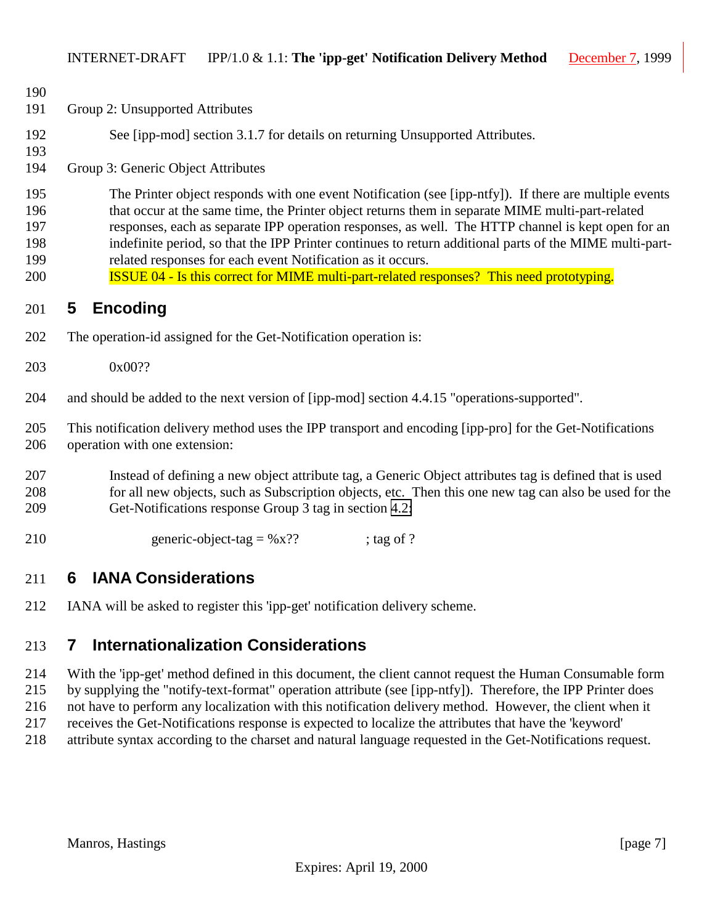<span id="page-6-0"></span>

| 190<br>191                             | Group 2: Unsupported Attributes                                                                                                                                                                                                                                                                                                                                                                                                                                                                                                                                                               |
|----------------------------------------|-----------------------------------------------------------------------------------------------------------------------------------------------------------------------------------------------------------------------------------------------------------------------------------------------------------------------------------------------------------------------------------------------------------------------------------------------------------------------------------------------------------------------------------------------------------------------------------------------|
| 192<br>193                             | See [ipp-mod] section 3.1.7 for details on returning Unsupported Attributes.                                                                                                                                                                                                                                                                                                                                                                                                                                                                                                                  |
| 194                                    | Group 3: Generic Object Attributes                                                                                                                                                                                                                                                                                                                                                                                                                                                                                                                                                            |
| 195<br>196<br>197<br>198<br>199<br>200 | The Printer object responds with one event Notification (see [ipp-ntfy]). If there are multiple events<br>that occur at the same time, the Printer object returns them in separate MIME multi-part-related<br>responses, each as separate IPP operation responses, as well. The HTTP channel is kept open for an<br>indefinite period, so that the IPP Printer continues to return additional parts of the MIME multi-part-<br>related responses for each event Notification as it occurs.<br><b>ISSUE 04 - Is this correct for MIME multi-part-related responses?</b> This need prototyping. |
| 201                                    | <b>Encoding</b><br>5                                                                                                                                                                                                                                                                                                                                                                                                                                                                                                                                                                          |
| 202                                    | The operation-id assigned for the Get-Notification operation is:                                                                                                                                                                                                                                                                                                                                                                                                                                                                                                                              |
| 203                                    | 0x00??                                                                                                                                                                                                                                                                                                                                                                                                                                                                                                                                                                                        |
| 204                                    | and should be added to the next version of [ipp-mod] section 4.4.15 "operations-supported".                                                                                                                                                                                                                                                                                                                                                                                                                                                                                                   |
| 205<br>206                             | This notification delivery method uses the IPP transport and encoding [ipp-pro] for the Get-Notifications<br>operation with one extension:                                                                                                                                                                                                                                                                                                                                                                                                                                                    |
| 207<br>208<br>209                      | Instead of defining a new object attribute tag, a Generic Object attributes tag is defined that is used<br>for all new objects, such as Subscription objects, etc. Then this one new tag can also be used for the<br>Get-Notifications response Group 3 tag in section 4.2:                                                                                                                                                                                                                                                                                                                   |
| 210                                    | generic-object-tag = $%x$ ??<br>; tag of $?$                                                                                                                                                                                                                                                                                                                                                                                                                                                                                                                                                  |
| 211                                    | <b>IANA Considerations</b><br>6                                                                                                                                                                                                                                                                                                                                                                                                                                                                                                                                                               |
| 212                                    | IANA will be asked to register this 'ipp-get' notification delivery scheme.                                                                                                                                                                                                                                                                                                                                                                                                                                                                                                                   |

# **7 Internationalization Considerations**

 With the 'ipp-get' method defined in this document, the client cannot request the Human Consumable form by supplying the "notify-text-format" operation attribute (see [ipp-ntfy]). Therefore, the IPP Printer does not have to perform any localization with this notification delivery method. However, the client when it receives the Get-Notifications response is expected to localize the attributes that have the 'keyword' attribute syntax according to the charset and natural language requested in the Get-Notifications request.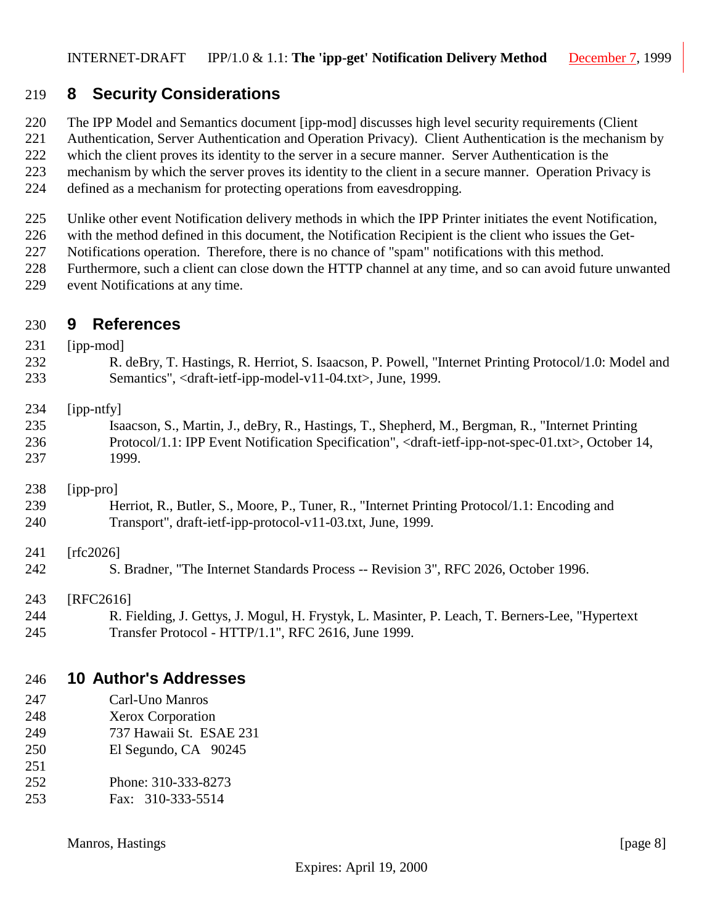## <span id="page-7-0"></span>**8 Security Considerations**

- The IPP Model and Semantics document [ipp-mod] discusses high level security requirements (Client
- Authentication, Server Authentication and Operation Privacy). Client Authentication is the mechanism by
- which the client proves its identity to the server in a secure manner. Server Authentication is the
- mechanism by which the server proves its identity to the client in a secure manner. Operation Privacy is
- defined as a mechanism for protecting operations from eavesdropping.
- Unlike other event Notification delivery methods in which the IPP Printer initiates the event Notification,
- with the method defined in this document, the Notification Recipient is the client who issues the Get-
- Notifications operation. Therefore, there is no chance of "spam" notifications with this method.
- Furthermore, such a client can close down the HTTP channel at any time, and so can avoid future unwanted
- event Notifications at any time.

### **9 References**

# [ipp-mod] R. deBry, T. Hastings, R. Herriot, S. Isaacson, P. Powell, "Internet Printing Protocol/1.0: Model and Semantics", <draft-ietf-ipp-model-v11-04.txt>, June, 1999. [ipp-ntfy] Isaacson, S., Martin, J., deBry, R., Hastings, T., Shepherd, M., Bergman, R., "Internet Printing

 Protocol/1.1: IPP Event Notification Specification", <draft-ietf-ipp-not-spec-01.txt>, October 14, 1999.

#### [ipp-pro]

 Herriot, R., Butler, S., Moore, P., Tuner, R., "Internet Printing Protocol/1.1: Encoding and Transport", draft-ietf-ipp-protocol-v11-03.txt, June, 1999.

#### 241 [rfc2026]

S. Bradner, "The Internet Standards Process -- Revision 3", RFC 2026, October 1996.

#### [RFC2616]

 R. Fielding, J. Gettys, J. Mogul, H. Frystyk, L. Masinter, P. Leach, T. Berners-Lee, "Hypertext Transfer Protocol - HTTP/1.1", RFC 2616, June 1999.

### **10 Author's Addresses**

- Carl-Uno Manros
- Xerox Corporation
- 737 Hawaii St. ESAE 231
- El Segundo, CA 90245
- Phone: 310-333-8273
- Fax: 310-333-5514

#### Manros, Hastings [page 8]